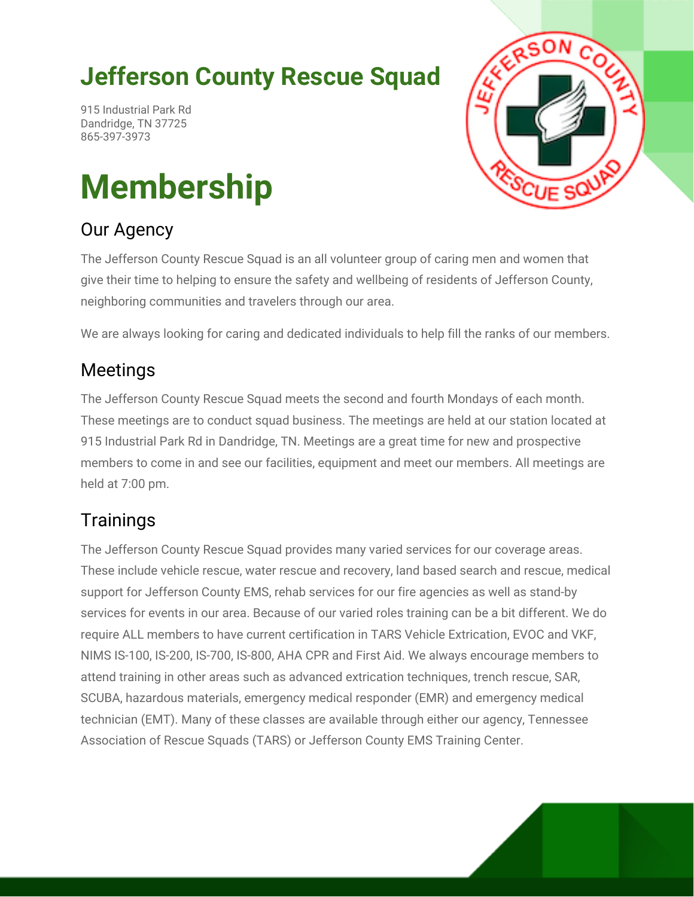## **Jefferson County Rescue Squad**

915 Industrial Park Rd Dandridge, TN 37725 865-397-3973

# **Membership**

#### Our Agency



The Jefferson County Rescue Squad is an all volunteer group of caring men and women that give their time to helping to ensure the safety and wellbeing of residents of Jefferson County, neighboring communities and travelers through our area.

We are always looking for caring and dedicated individuals to help fill the ranks of our members.

#### Meetings

The Jefferson County Rescue Squad meets the second and fourth Mondays of each month. These meetings are to conduct squad business. The meetings are held at our station located at 915 Industrial Park Rd in Dandridge, TN. Meetings are a great time for new and prospective members to come in and see our facilities, equipment and meet our members. All meetings are held at 7:00 pm.

#### **Trainings**

The Jefferson County Rescue Squad provides many varied services for our coverage areas. These include vehicle rescue, water rescue and recovery, land based search and rescue, medical support for Jefferson County EMS, rehab services for our fire agencies as well as stand-by services for events in our area. Because of our varied roles training can be a bit different. We do require ALL members to have current certification in TARS Vehicle Extrication, EVOC and VKF, NIMS IS-100, IS-200, IS-700, IS-800, AHA CPR and First Aid. We always encourage members to attend training in other areas such as advanced extrication techniques, trench rescue, SAR, SCUBA, hazardous materials, emergency medical responder (EMR) and emergency medical technician (EMT). Many of these classes are available through either our agency, Tennessee Association of Rescue Squads (TARS) or Jefferson County EMS Training Center.